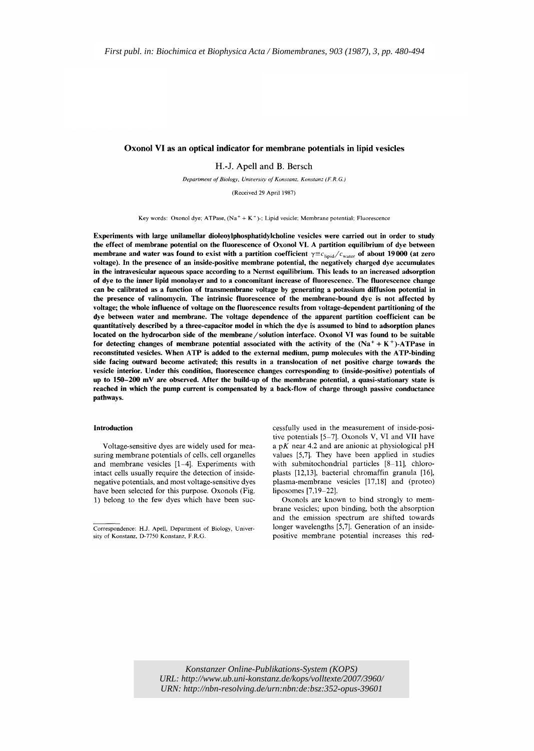## Oxonol VI as an optical indicator for membrane potentials in lipid vesicles

H.-J. Apell and B. Bersch

*Department ofBiology, University of Konstanz, Konstanz (F.R.G.)*

(Received 29 April 1987)

Key words: Oxonol dye; ATPase,  $(Na^+ + K^+)$ ; Lipid vesicle; Membrane potential; Fluorescence

Experiments with large unilamellar dioleoylphosphatidylcholine vesicles were carried out in order to study the effect of membrane potential on the fluorescence of Oxonol VI. A partition equilibrium of dye between membrane and water was found to exist with a partition coefficient  $\gamma \equiv c_{\text{lipid}}/c_{\text{water}}$  of about 19000 (at zero voltage). In the presence of an inside-positive membrane potential, the negatively charged dye accumulates in the intravesicular aqueous space according to a Nernst equilibrium. This leads to an increased adsorption of dye to the inner lipid monolayer and to a concomitant increase of fluorescence. The fluorescence change can be calibrated as a function of transmembrane voltage by generating a potassium diffusion potential in the presence of valinomycin. The intrinsic fluorescence of the membrane-bound dye is not affected by voltage; the whole influence of voltage on the fluorescence results from voltage-dependent partitioning of the dye between water and membrane. The voltage dependence of the apparent partition coefficient can be quantitatively described by a three-capacitor model in which the dye is assumed to bind to adsorption planes located on the hydrocarbon side of the membrane / solution interface. Oxonol VI was found to be suitable for detecting changes of membrane potential associated with the activity of the  $(Na^+ + K^+)$ -ATPase in reconstituted vesicles. When ATP is added to the external medium, pump molecules with the ATP-binding side facing outward become activated; this results in a translocation of net positive charge towards the vesicle interior. Under this condition, fluorescence changes corresponding to (inside-positive) potentials of up to 150-200 mV are observed. After the build-up of the membrane potential, a quasi-stationary state is reached in which the pump current is compensated by a back-flow of charge through passive conductance pathways.

#### Introduction

Voltage-sensitive dyes are widely used for measuring membrane potentials of cells, cell organelles and membrane vesicles [1-4]. Experiments with intact cells usually require the detection of insidenegative potentials, and most voltage-sensitive dyes have been selected for this purpose. Oxonols (Fig. 1) belong to the few dyes which have been successfully used in the measurement of inside-positive potentials [5-7]. Oxonols V, VI and VII have a pK near 4.2 and are anionic at physiological pH values [5,7]. They have been applied in studies with submitochondrial particles [8-11], chloroplasts [12,13], bacterial chromaffin granula [16], plasma-membrane vesicles [17,18] and (proteo) liposomes [7,19-22].

Oxonols are known to bind strongly to membrane vesicles; upon binding, both the absorption and the emission spectrum are shifted towards longer wavelengths [5,7]. Generation of an insidepositive membrane potential increases this red-

*Konstanzer Online-Publikations-System (KOPS) URL: <http://www.ub.uni-konstanz.de/kops/volltexte/2007/3960/> URN:<http://nbn-resolving.de/urn:nbn:de:bsz:352-opus-39601>*

Correspondence: H.J. ApeIl, Department of Biology, University of Konstanz, 0-7750 Konstanz, F.R.G.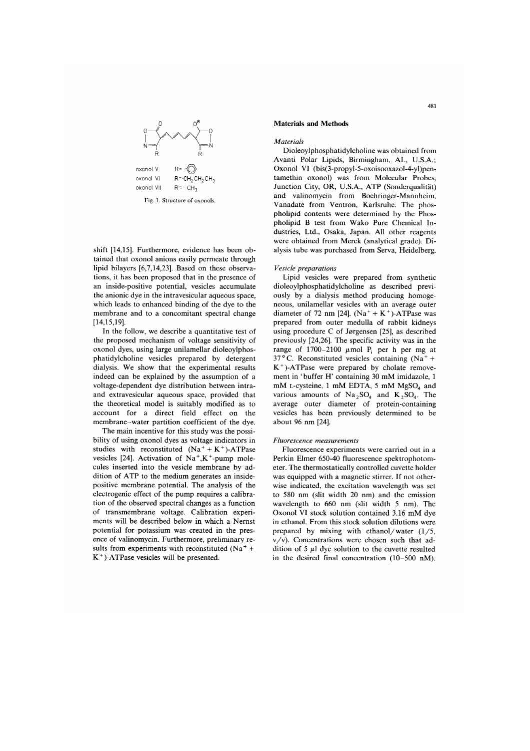

Fig. 1. Structure of oxonols

shift [14,15]. Furthermore, evidence has been obtained that oxonol anions easily permeate through lipid bilayers [6,7,14,23]. Based on these observations, it has been proposed that in the presence of an inside-positive potential, vesicles accumulate the anionic dye in the intravesicular aqueous space, which leads to enhanced binding of the dye to the membrane and to a concomitant spectral change  $[14, 15, 19]$ .

In the follow, we describe a quantitative test of the proposed mechanism of voltage sensitivity of oxonol dyes, using large unilamellar dioleoylphosphatidylcholine vesicles prepared by detergent dialysis. We show that the experimental results indeed can be explained by the assumption of a voltage-dependent dye distribution between intraand extravesicular aqueous space, provided that the theoretical model is suitably modified as to account for a direct field effect on the membrane-water partition coefficient of the dye.

The main incentive for this study was the possibility of using oxonol dyes as voltage indicators in studies with reconstituted  $(Na^+ + K^+)$ -ATPase vesicles [24]. Activation of  $Na^+, K^+$ -pump molecules inserted into the vesicle membrane by addition of ATP to the medium generates an insidepositive membrane potential. The analysis of the electrogenic effect of the pump requires a calibration of the observed spectral changes as a function of transmembrane voltage. Calibration experiments will be described below in which a Nernst potential for potassium was created in the presence of valinomycin. Furthermore, preliminary results from experiments with reconstituted ( $Na<sup>+</sup>$ +  $K^+$ )-ATPase vesicles will be presented.

## **Materials and Methods**

Materials

Dioleoylphosphatidylcholine was obtained from Avanti Polar Lipids, Birmingham, AL, U.S.A.; Oxonol VI (bis(3-propyl-5-oxoisooxazol-4-yl)pentamethin oxonol) was from Molecular Probes, Junction City, OR, U.S.A., ATP (Sonderqualität) and valinomycin from Boehringer-Mannheim. Vanadate from Ventron, Karlsruhe. The phospholipid contents were determined by the Phospholipid B test from Wako Pure Chemical Industries, Ltd., Osaka, Japan. All other reagents were obtained from Merck (analytical grade). Dialysis tube was purchased from Serva, Heidelberg.

## Vesicle preparations

Lipid vesicles were prepared from synthetic dioleoylphosphatidylcholine as described previously by a dialysis method producing homogeneous, unilamellar vesicles with an average outer diameter of 72 nm [24].  $(Na^+ + K^+)$ -ATPase was prepared from outer medulla of rabbit kidneys using procedure C of Jørgensen [25], as described previously [24,26]. The specific activity was in the range of 1700-2100  $\mu$ mol P<sub>i</sub> per h per mg at 37°C. Reconstituted vesicles containing  $(Na^+ +$  $K^+$ )-ATPase were prepared by cholate removement in 'buffer H' containing 30 mM imidazole, 1 mM L-cysteine, 1 mM EDTA, 5 mM MgSO<sub>4</sub> and various amounts of  $Na<sub>2</sub>SO<sub>4</sub>$  and  $K<sub>2</sub>SO<sub>4</sub>$ . The average outer diameter of protein-containing vesicles has been previously determined to be about 96 nm [24].

#### Fluorescence measurements

Fluorescence experiments were carried out in a Perkin Elmer 650-40 fluorescence spektrophotometer. The thermostatically controlled cuvette holder was equipped with a magnetic stirrer. If not otherwise indicated, the excitation wavelength was set to 580 nm (slit width 20 nm) and the emission wavelength to 660 nm (slit width 5 nm). The Oxonol VI stock solution contained 3.16 mM dye in ethanol. From this stock solution dilutions were prepared by mixing with ethanol/water  $(1/5,$ v/v). Concentrations were chosen such that addition of  $5 \mu l$  dye solution to the cuvette resulted in the desired final concentration (10-500 nM).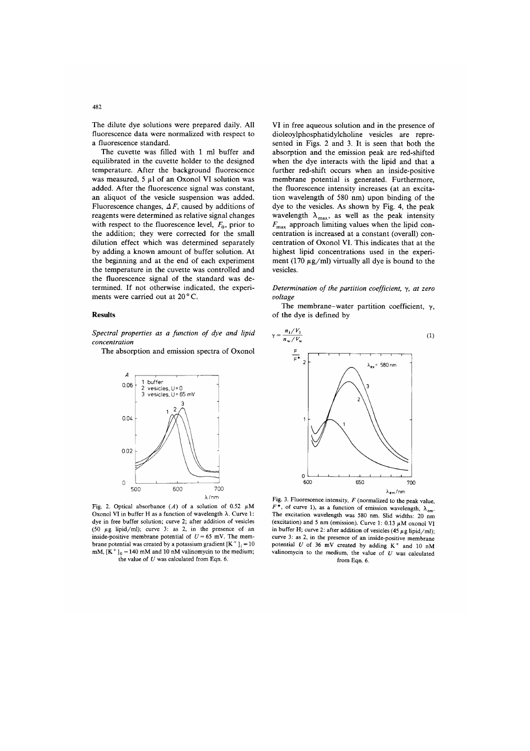The dilute dye solutions were prepared daily. All fluorescence data were normalized with respect to a fluorescence standard.

The cuvette was filled with 1 ml buffer and equilibrated in the cuvette holder to the designed temperature. After the background fluorescence was measured,  $5 \mu l$  of an Oxonol VI solution was added. After the fluorescence signal was constant, an aliquot of the vesicle suspension was added. Fluorescence changes,  $\Delta F$ , caused by additions of reagents were determined as relative signal changes with respect to the fluorescence level,  $F_0$ , prior to the addition: they were corrected for the small dilution effect which was determined separately by adding a known amount of buffer solution. At the beginning and at the end of each experiment the temperature in the cuvette was controlled and the fluorescence signal of the standard was determined. If not otherwise indicated, the experiments were carried out at 20°C.

#### **Results**

Spectral properties as a function of dye and lipid concentration

The absorption and emission spectra of Oxonol



Fig. 2. Optical absorbance  $(A)$  of a solution of 0.52  $\mu$ M Oxonol VI in buffer H as a function of wavelength  $\lambda$ . Curve 1: dye in free buffer solution; curve 2; after addition of vesicles (50  $\mu$ g lipid/ml); curve 3: as 2, in the presence of an inside-positive membrane potential of  $U = 65$  mV. The membrane potential was created by a potassium gradient  $[K^+] = 10$ mM,  $[K^+]_0 = 140$  mM and 10 nM valinomycin to the medium; the value of  $U$  was calculated from Eqn. 6.

VI in free aqueous solution and in the presence of dioleoylphosphatidylcholine vesicles are represented in Figs. 2 and 3. It is seen that both the absorption and the emission peak are red-shifted when the dye interacts with the lipid and that a further red-shift occurs when an inside-positive membrane potential is generated. Furthermore, the fluorescence intensity increases (at an excitation wavelength of 580 nm) upon binding of the dve to the vesicles. As shown by Fig. 4, the peak wavelength  $\lambda_{\text{max}}$ , as well as the peak intensity  $F_{\text{max}}$  approach limiting values when the lipid concentration is increased at a constant (overall) concentration of Oxonol VI. This indicates that at the highest lipid concentrations used in the experiment (170  $\mu$ g/ml) virtually all dye is bound to the vesicles.

Determination of the partition coefficient,  $\gamma$ , at zero voltage

The membrane-water partition coefficient,  $\gamma$ , of the dye is defined by



Fig. 3. Fluorescence intensity,  $F$  (normalized to the peak value,  $F^*$ , of curve 1), as a function of emission wavelength,  $\lambda_{em}$ . The excitation wavelength was 580 nm. Slid widths: 20 nm (excitation) and 5 nm (emission). Curve 1: 0.13  $\mu$ M oxonol VI in buffer H; curve 2: after addition of vesicles (45  $\mu$ g lipid/ml); curve 3: as 2, in the presence of an inside-positive membrane potential  $U$  of 36 mV created by adding  $K^+$  and 10 nM valinomycin to the medium, the value of  $U$  was calculated from Eqn. 6.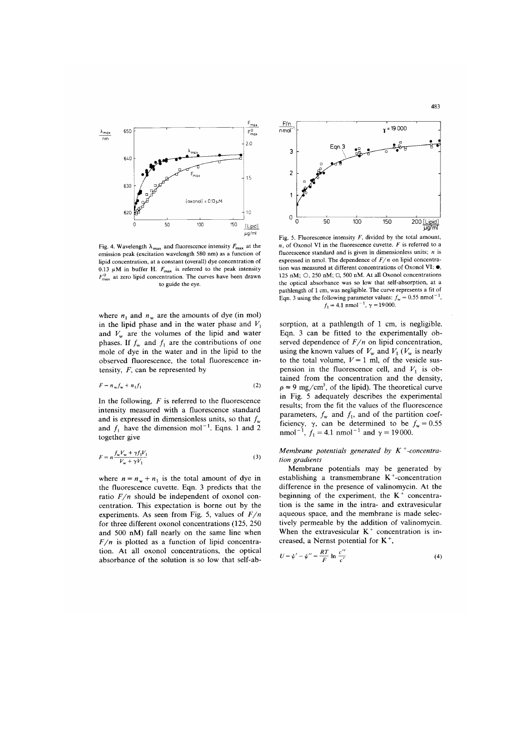

Fig. 4. Wavelength  $\lambda_{\text{max}}$  and fluorescence intensity  $F_{\text{max}}$  at the emission peak (excitation wavelength 580 nm) as a function of lipid concentration, at a constant (overall) dye concentration of 0.13  $\mu$ M in buffer H.  $F_{\text{max}}$  is referred to the peak intensity  $F_{\text{max}}^0$  at zero lipid concentration. The curves have been drawn to guide the eve

where  $n_1$  and  $n_w$  are the amounts of dye (in mol) in the lipid phase and in the water phase and  $V_1$ and  $V_w$  are the volumes of the lipid and water phases. If  $f_w$  and  $f_1$  are the contributions of one mole of dye in the water and in the lipid to the observed fluorescence, the total fluorescence intensity,  $F$ , can be represented by

$$
F = n_w f_w + n_1 f_1 \tag{2}
$$

In the following,  $F$  is referred to the fluorescence intensity measured with a fluorescence standard and is expressed in dimensionless units, so that  $f_w$ and  $f_1$  have the dimension mol<sup>-1</sup>. Eqns. 1 and 2 together give

$$
F = n \frac{f_w V_w + \gamma f_1 V_1}{V_w + \gamma V_1}
$$
 (3)

where  $n = n_w + n_1$  is the total amount of dye in the fluorescence cuvette. Eqn. 3 predicts that the ratio  $F/n$  should be independent of oxonol concentration. This expectation is borne out by the experiments. As seen from Fig. 5, values of  $F/n$ for three different oxonol concentrations (125, 250) and 500 nM) fall nearly on the same line when  $F/n$  is plotted as a function of lipid concentration. At all oxonol concentrations, the optical absorbance of the solution is so low that self-ab-



Fig. 5. Fluorescence intensity  $F$ , divided by the total amount,  $n$ , of Oxonol VI in the fluorescence cuvette.  $F$  is referred to a fluorescence standard and is given in dimensionless units;  $n$  is expressed in nmol. The dependence of  $F/n$  on lipid concentration was measured at different concentrations of Oxonol VI: ●, 125 nM; O, 250 nM;  $\Box$ , 500 nM. At all Oxonol concentrations the optical absorbance was so low that self-absorption, at a pathlength of 1 cm, was negligible. The curve represents a fit of Eqn. 3 using the following parameter values:  $f_w = 0.55$  nmol<sup>-1</sup>,  $f_1 = 4.1$  nmol<sup>-1</sup>,  $\gamma = 19000$ .

sorption, at a pathlength of 1 cm, is negligible. Eqn. 3 can be fitted to the experimentally observed dependence of  $F/n$  on lipid concentration, using the known values of  $V_w$  and  $V_1$  ( $V_w$  is nearly to the total volume,  $V = 1$  ml, of the vesicle suspension in the fluorescence cell, and  $V_1$  is obtained from the concentration and the density,  $\rho \approx 9$  mg/cm<sup>3</sup>, of the lipid). The theoretical curve in Fig. 5 adequately describes the experimental results; from the fit the values of the fluorescence parameters,  $f_w$  and  $f_1$ , and of the partition coefficiency,  $\gamma$ , can be determined to be  $f_w = 0.55$ <br>nmol<sup>-1</sup>,  $f_1 = 4.1$  nmol<sup>-1</sup> and  $\gamma = 19000$ .

Membrane potentials generated by  $K^+$ -concentration gradients

Membrane potentials may be generated by establishing a transmembrane  $K^+$ -concentration difference in the presence of valinomycin. At the beginning of the experiment, the  $K^+$  concentration is the same in the intra- and extravesicular aqueous space, and the membrane is made selectively permeable by the addition of valinomycin. When the extravesicular  $K^+$  concentration is increased, a Nernst potential for  $K^+$ ,

$$
U = \psi' - \psi'' = \frac{RT}{F} \ln \frac{c''}{c'}
$$
 (4)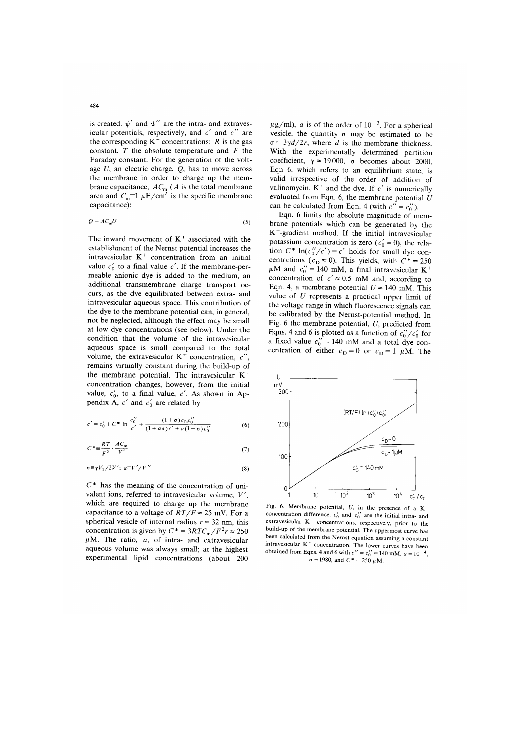is created.  $\psi'$  and  $\psi''$  are the intra- and extravesicular potentials, respectively, and  $c'$  and  $c''$  are the corresponding  $K^+$  concentrations; R is the gas constant,  $T$  the absolute temperature and  $F$  the Faraday constant. For the generation of the voltage  $U$ , an electric charge,  $Q$ , has to move across the membrane in order to charge up the membrane capacitance,  $AC_m$  (A is the total membrane<br>area and  $C_m \equiv 1 \mu F/cm^2$  is the specific membrane capacitance):

$$
Q = AC_m U \tag{5}
$$

The inward movement of  $K^+$  associated with the establishment of the Nernst potential increases the intravesicular K<sup>+</sup> concentration from an initial value  $c'_0$  to a final value c'. If the membrane-permeable anionic dye is added to the medium, an additional transmembrane charge transport occurs, as the dye equilibrated between extra- and intravesicular aqueous space. This contribution of the dye to the membrane potential can, in general, not be neglected, although the effect may be small at low dye concentrations (see below). Under the condition that the volume of the intravesicular aqueous space is small compared to the total volume, the extravesicular  $K^+$  concentration, c'', remains virtually constant during the build-up of the membrane potential. The intravesicular K<sup>+</sup> concentration changes, however, from the initial value,  $c'_0$ , to a final value, c'. As shown in Appendix A,  $c'$  and  $c'_0$  are related by

$$
c' = c'_0 + C^* \ln \frac{c''_0}{c'} + \frac{(1+\sigma)c_0c''_0}{(1+a\sigma)c'+a(1+\sigma)c''_0}
$$
 (6)

$$
C^* \equiv \frac{RT}{F^2} \cdot \frac{AC_m}{V'} \tag{7}
$$

$$
\sigma \equiv \gamma V_1 / 2V'; \ a \equiv V' / V'' \tag{8}
$$

 $C^*$  has the meaning of the concentration of univalent ions, referred to intravesicular volume,  $V'$ which are required to charge up the membrane capacitance to a voltage of  $RT/F \approx 25$  mV. For a spherical vesicle of internal radius  $r = 32$  nm, this concentration is given by  $C^* = 3RTC_m/F^2r \approx 250$  $\mu$ M. The ratio,  $a$ , of intra- and extravesicular aqueous volume was always small; at the highest experimental lipid concentrations (about 200  $\mu$ g/ml), *a* is of the order of 10<sup>-3</sup>. For a spherical vesicle, the quantity  $\sigma$  may be estimated to be  $\sigma = 3\gamma d/2r$ , where d is the membrane thickness. With the experimentally determined partition coefficient,  $\gamma \approx 19000$ ,  $\sigma$  becomes about 2000. Eqn 6, which refers to an equilibrium state, is valid irrespective of the order of addition of valinomycin,  $K^+$  and the dye. If c' is numerically evaluated from Eqn. 6, the membrane potential  $U$ can be calculated from Eqn. 4 (with  $c'' = c_0''$ ).

Eqn. 6 limits the absolute magnitude of membrane potentials which can be generated by the  $K^+$ -gradient method. If the initial intravesicular potassium concentration is zero ( $c'_0 = 0$ ), the relation  $C^*$  ln( $c_0''/c'$ ) = c' holds for small dye concentrations ( $c_D \approx 0$ ). This yields, with  $C^* = 250$  $\mu$ M and  $c_0'' = 140$  mM, a final intravesicular K<sup>+</sup> concentration of  $c' \approx 0.5$  mM and, according to Eqn. 4, a membrane potential  $U \approx 140$  mM. This value of  $U$  represents a practical upper limit of the voltage range in which fluorescence signals can be calibrated by the Nernst-potential method. In Fig. 6 the membrane potential,  $U$ , predicted from Eqns. 4 and 6 is plotted as a function of  $c''_0/c'_0$  for a fixed value  $c_0'' = 140$  mM and a total dye concentration of either  $c_D = 0$  or  $c_D = 1 \mu M$ . The



Fig. 6. Membrane potential, U, in the presence of a  $K^+$ concentration difference.  $c'_0$  and  $c''_0$  are the initial intra- and extravesicular K<sup>+</sup> concentrations, respectively, prior to the build-up of the membrane potential. The uppermost curve has been calculated from the Nernst equation assuming a constant intravesicular K<sup>+</sup> concentration. The lower curves have been obtained from Eqns. 4 and 6 with  $c'' = c_0'' = 140$  mM,  $a = 10^{-4}$ ,  $\sigma = 1980$ , and  $C^* = 250 \mu M$ .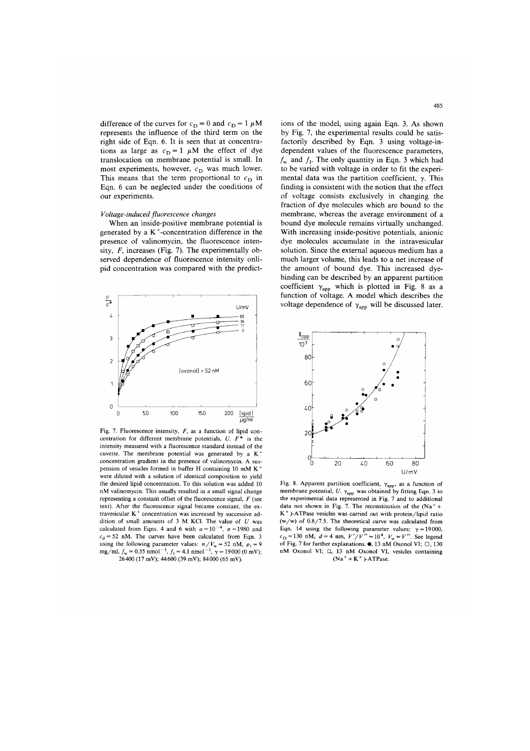difference of the curves for  $c_D = 0$  and  $c_D = 1 \mu M$ represents the influence of the third term on the right side of Eqn. 6. It is seen that at concentrations as large as  $c_D = 1 \mu M$  the effect of dye translocation on membrane potential is small. In most experiments, however, c<sub>D</sub> was much lower. This means that the term proportional to  $c_{\text{D}}$  in Eqn. 6 can be neglected under the conditions of our experiments.

## Voltage-induced fluorescence changes

When an inside-positive membrane potential is generated by a  $K^+$ -concentration difference in the presence of valinomycin, the fluorescence intensity,  $F$ , increases (Fig. 7). The experimentally observed dependence of fluorescence intensity onlipid concentration was compared with the predict-



Fig. 7. Fluorescence intensity,  $F$ , as a function of lipid concentration for different membrane potentials,  $U. F^*$ is the intensity measured with a fluorescence standard instead of the cuvette. The membrane potential was generated by a  $K^+$ concentration gradient in the presence of valinomycin. A suspension of vesicles formed in buffer H containing 10 mM K<sup>+</sup> were diluted with a solution of identical composition to vield the desired lipid concentration. To this solution was added 10 nM valinomycin. This usually resulted in a small signal change representing a constant offset of the fluorescence signal,  $F$  (see text). After the fluorescence signal became constant, the extravesicular K<sup>+</sup> concentration was increased by successive addition of small amounts of  $3$  M KCl. The value of  $U$  was calculated from Eqns. 4 and 6 with  $a=10^{-4}$ ,  $\sigma = 1980$  and  $c<sub>A</sub> = 52$  nM. The curves have been calculated from Eqn. 3 using the following parameter values:  $n/V_w = 52$  nM,  $\rho_1 = 9$ <br>mg/ml,  $f_w = 0.55$  nmol<sup>-1</sup>,  $f_1 = 4.1$  nmol<sup>-1</sup>,  $\gamma = 19000$  (0 mV); 26400 (17 mV); 44600 (39 mV); 84000 (65 mV).

ions of the model, using again Eqn. 3. As shown by Fig. 7, the experimental results could be satisfactorily described by Eqn. 3 using voltage-independent values of the fluorescence parameters,  $f_w$  and  $f_1$ . The only quantity in Eqn. 3 which had to be varied with voltage in order to fit the experimental data was the partition coefficient,  $\gamma$ . This finding is consistent with the notion that the effect of voltage consists exclusively in changing the fraction of dye molecules which are bound to the membrane, whereas the average environment of a bound dye molecule remains virtually unchanged. With increasing inside-positive potentials, anionic dye molecules accumulate in the intravesicular solution. Since the external aqueous medium has a much larger volume, this leads to a net increase of the amount of bound dye. This increased dyebinding can be described by an apparent partition coefficient  $\gamma_{app}$  which is plotted in Fig. 8 as a function of voltage. A model which describes the voltage dependence of  $\gamma_{\rm app}$  will be discussed later.



Fig. 8. Apparent partition coefficient,  $\gamma_{app}$ , as a function of membrane potential,  $U$ .  $\gamma_{app}$  was obtained by fitting Eqn. 3 to the experimental data represented in Fig. 7 and to additional data not shown in Fig. 7. The reconstitution of the  $(Na^{+} +$ K<sup>+</sup>)-ATPase vesicles was carried out with protein/lipid ratio  $(w/w)$  of 0.8/7.5. The theoretical curve was calculated from Eqn. 14 using the following parameter values:  $\gamma = 19000$ ,<br>c<sub>D</sub> = 130 nM, d = 4 nm,  $V'/V'' = 10^4$ ,  $V_w \approx V''$ . See legend of Fig. 7 for further explanations.  $\bullet$ , 13 nM Oxonol VI;  $\circ$ , 130 nM Oxonol VI;  $\Box$ , 13 nM Oxonol VI, vesicles containing  $(Na^+ + K^+)$ -ATPase.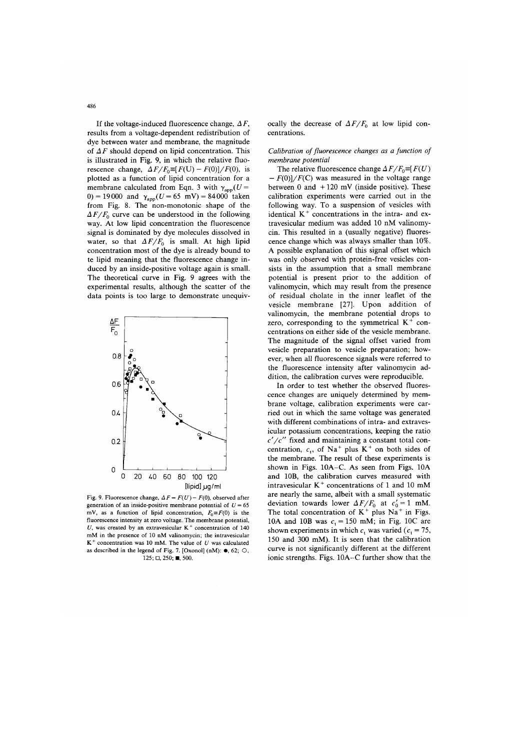If the voltage-induced fluorescence change,  $\Delta F$ . results from a voltage-dependent redistribution of dye between water and membrane, the magnitude of  $\Delta F$  should depend on lipid concentration. This is illustrated in Fig. 9, in which the relative fluorescence change,  $\Delta F/F_0 \equiv [F(U) - F(0)]/F(0)$ , is plotted as a function of lipid concentration for a membrane calculated from Eqn. 3 with  $\gamma_{app}(U =$ 0) = 19000 and  $\gamma_{app}(U = 65 \text{ mV}) = 84000 \text{ taken}$ from Fig. 8. The non-monotonic shape of the

 $\Delta F/F_0$  curve can be understood in the following way. At low lipid concentration the fluorescence signal is dominated by dye molecules dissolved in water, so that  $\Delta F/F_0$  is small. At high lipid concentration most of the dye is already bound to te lipid meaning that the fluorescence change induced by an inside-positive voltage again is small. The theoretical curve in Fig. 9 agrees with the experimental results, although the scatter of the data points is too large to demonstrate unequiv-



Fig. 9. Fluorescence change,  $\Delta F = F(U) - F(0)$ , observed after generation of an inside-positive membrane potential of  $U = 65$ mV, as a function of lipid concentration,  $F_0 \equiv F(0)$  is the fluorescence intensity at zero voltage. The membrane potential, U, was created by an extravesicular  $K^+$  concentration of 140 mM in the presence of 10 nM valinomycin; the intravesicular  $K^+$  concentration was 10 mM. The value of U was calculated as described in the legend of Fig. 7. [Oxonol] (nM):  $\bullet$ , 62;  $\circlearrowleft$ ,  $125; \Box, 250; \blacksquare, 500.$ 

ocally the decrease of  $\Delta F/F_0$  at low lipid concentrations.

Calibration of fluorescence changes as a function of membrane potential

The relative fluorescence change  $\Delta F/F_0 \equiv F(U)$  $-F(0)/F(C)$  was measured in the voltage range between 0 and  $+120$  mV (inside positive). These calibration experiments were carried out in the following way. To a suspension of vesicles with identical K<sup>+</sup> concentrations in the intra- and extravesicular medium was added 10 nM valinomycin. This resulted in a (usually negative) fluorescence change which was always smaller than 10%. A possible explanation of this signal offset which was only observed with protein-free vesicles consists in the assumption that a small membrane potential is present prior to the addition of valinomycin, which may result from the presence of residual cholate in the inner leaflet of the vesicle membrane [27]. Upon addition of valinomycin, the membrane potential drops to zero, corresponding to the symmetrical  $K^+$  concentrations on either side of the vesicle membrane. The magnitude of the signal offset varied from vesicle preparation to vesicle preparation; however, when all fluorescence signals were referred to the fluorescence intensity after valinomycin addition, the calibration curves were reproducible.

In order to test whether the observed fluorescence changes are uniquely determined by membrane voltage, calibration experiments were carried out in which the same voltage was generated with different combinations of intra- and extravesicular potassium concentrations, keeping the ratio  $c'/c''$  fixed and maintaining a constant total concentration,  $c_t$ , of Na<sup>+</sup> plus K<sup>+</sup> on both sides of the membrane. The result of these experiments is shown in Figs. 10A-C. As seen from Figs. 10A and 10B, the calibration curves measured with intravesicular K<sup>+</sup> concentrations of 1 and 10 mM are nearly the same, albeit with a small systematic deviation towards lower  $\Delta F/F_0$  at  $c'_0 = 1$  mM. The total concentration of  $K^+$  plus  $Na^+$  in Figs. 10A and 10B was  $c_t = 150$  mM; in Fig. 10C are shown experiments in which  $c_t$  was varied ( $c_t$  = 75, 150 and 300 mM). It is seen that the calibration curve is not significantly different at the different ionic strengths. Figs. 10A-C further show that the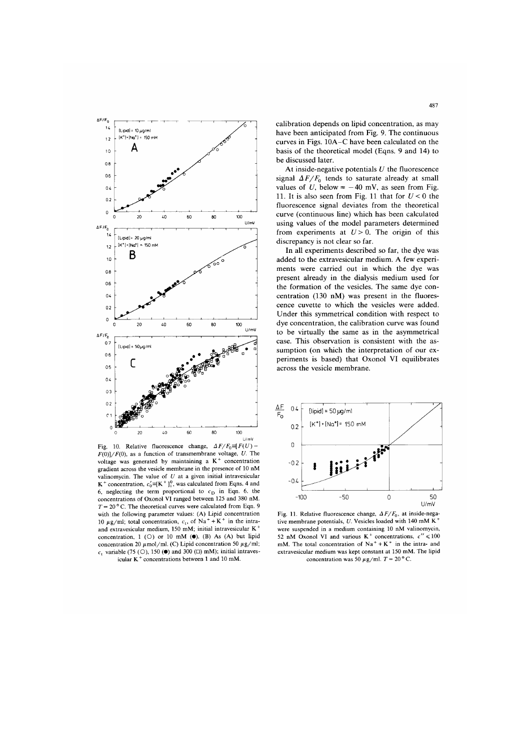

Fig. 10. Relative fluorescence change,  $\Delta F/F_0 \equiv F(U)$  $F(0)/F(0)$ , as a function of transmembrane voltage, U. The voltage was generated by maintaining a K<sup>+</sup> concentration gradient across the vesicle membrane in the presence of 10 nM valinomycin. The value of  $U$  at a given initial intravesicular  $K^+$  concentration,  $c'_0 = [K^+]_1^0$ , was calculated from Eqns. 4 and 6, neglecting the term proportional to  $c_D$  in Eqn. 6. the concentrations of Oxonol VI ranged between 125 and 380 nM.  $T = 20$  ° C. The theoretical curves were calculated from Eqn. 9 with the following parameter values: (A) Lipid concentration 10  $\mu$ g/ml; total concentration, c<sub>t</sub>, of Na<sup>+</sup> + K<sup>+</sup> in the intraand extravesicular medium, 150 mM; initial intravesicular K<sup>+</sup> concentration,  $1$  (O) or 10 mM ( $\bullet$ ). (B) As (A) but lipid concentration 20  $\mu$ mol/ml. (C) Lipid concentration 50  $\mu$ g/ml;  $c_1$  variable (75 (O), 150 (.) and 300 ( $\Box$ ) mM); initial intraves icular  $K^+$  concentrations between 1 and 10 mM.

calibration depends on lipid concentration, as may have been anticipated from Fig. 9. The continuous curves in Figs. 10A-C have been calculated on the basis of the theoretical model (Eqns. 9 and 14) to be discussed later.

At inside-negative potentials  $U$  the fluorescence signal  $\Delta F/F_0$  tends to saturate already at small values of U, below  $\approx -40$  mV, as seen from Fig. 11. It is also seen from Fig. 11 that for  $U < 0$  the fluorescence signal deviates from the theoretical curve (continuous line) which has been calculated using values of the model parameters determined from experiments at  $U > 0$ . The origin of this discrepancy is not clear so far.

In all experiments described so far, the dye was added to the extravesicular medium. A few experiments were carried out in which the dye was present already in the dialysis medium used for the formation of the vesicles. The same dye concentration (130 nM) was present in the fluorescence cuvette to which the vesicles were added. Under this symmetrical condition with respect to dye concentration, the calibration curve was found to be virtually the same as in the asymmetrical case. This observation is consistent with the assumption (on which the interpretation of our experiments is based) that Oxonol VI equilibrates across the vesicle membrane.



Fig. 11. Relative fluorescence change,  $\Delta F/F_0$ , at inside-negative membrane potentials, U. Vesicles loaded with 140 mM K<sup>+</sup> were suspended in a medium containing 10 nM valinomycin, 52 nM Oxonol VI and various  $K^+$  concentrations,  $c'' \le 100$ mM. The total concentration of  $Na^+ + K^+$  in the intra- and extravesicular medium was kept constant at 150 mM. The lipid concentration was 50  $\mu$ g/ml. T = 20 °C.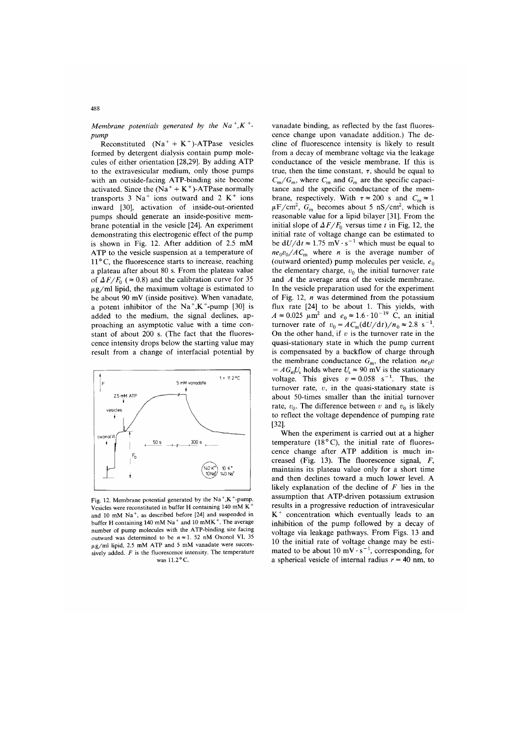# Membrane potentials generated by the  $Na^{+}$ ,  $K^{+}$  $numt$

Reconstituted  $(Na^+ + K^+)$ -ATPase vesicles formed by detergent dialysis contain pump molecules of either orientation [28,29]. By adding ATP to the extravesicular medium, only those pumps with an outside-facing ATP-binding site become activated. Since the  $(Na^+ + K^+)$ -ATPase normally transports  $3 \text{ Na}^+$  ions outward and  $2 \text{ K}^+$  ions inward [30], activation of inside-out-oriented pumps should generate an inside-positive membrane potential in the vesicle [24]. An experiment demonstrating this electrogenic effect of the pump is shown in Fig. 12. After addition of 2.5 mM ATP to the vesicle suspension at a temperature of 11°C, the fluorescence starts to increase, reaching a plateau after about 80 s. From the plateau value of  $\Delta F/F_0$  ( $\approx 0.8$ ) and the calibration curve for 35  $\mu$ g/ml lipid, the maximum voltage is estimated to be about 90 mV (inside positive). When vanadate, a potent inhibitor of the  $Na^+, K^+$ -pump [30] is added to the medium, the signal declines, approaching an asymptotic value with a time constant of about 200 s. (The fact that the fluorescence intensity drops below the starting value may result from a change of interfacial potential by



Fig. 12. Membrane potential generated by the  $Na^+, K^+$ -pump. Vesicles were reconstituted in buffer H containing 140 mM K and 10 mM Na<sup>+</sup>, as described before [24] and suspended in buffer H containing 140 mM Na<sup>+</sup> and 10 mMK<sup>+</sup>. The average number of pump molecules with the ATP-binding site facing outward was determined to be  $n \approx 1$ . 52 nM Oxonol VI, 35  $\mu$ g/ml lipid, 2.5 mM ATP and 5 mM vanadate were successively added.  $F$  is the fluorescence intensity. The temperature was 11.2°C.

vanadate binding, as reflected by the fast fluorescence change upon vanadate addition.) The decline of fluorescence intensity is likely to result from a decay of membrane voltage via the leakage conductance of the vesicle membrane. If this is true, then the time constant,  $\tau$ , should be equal to  $C_m/G_m$ , where  $C_m$  and  $G_m$  are the specific capacitance and the specific conductance of the membrane, respectively. With  $\tau \approx 200$  s and  $C_m \approx 1$  $\mu$ F/cm<sup>2</sup>, G<sub>m</sub> becomes about 5 nS/cm<sup>2</sup>, which is reasonable value for a lipid bilayer [31]. From the initial slope of  $\Delta F/F_0$  versus time t in Fig. 12, the initial rate of voltage change can be estimated to be  $dU/dt \approx 1.75$  mV $\cdot$ s<sup>-1</sup> which must be equal to  $ne_0v_0/AC_m$  where *n* is the average number of (outward oriented) pump molecules per vesicle,  $e_0$ the elementary charge,  $v_0$  the initial turnover rate and  $A$  the average area of the vesicle membrane. In the vesicle preparation used for the experiment of Fig. 12,  $n$  was determined from the potassium flux rate [24] to be about 1. This yields, with  $A \approx 0.025 \mu m^2$  and  $e_0 \approx 1.6 \cdot 10^{-19}$  C, an initial turnover rate of  $v_0 = AC_m(\frac{dU}{dt})/n_0 \approx 2.8 \text{ s}^{-1}$ . On the other hand, if  $v$  is the turnover rate in the quasi-stationary state in which the pump current is compensated by a backflow of charge through the membrane conductance  $G_m$ , the relation  $ne_0v$  $= AG_{\rm m}U_{\rm s}$  holds where  $U_{\rm s} \approx 90$  mV is the stationary voltage. This gives  $v = 0.058$  s<sup>-1</sup>. Thus, the turnover rate,  $v$ , in the quasi-stationary state is about 50-times smaller than the initial turnover rate,  $v_0$ . The difference between v and  $v_0$  is likely to reflect the voltage dependence of pumping rate  $[32]$ 

When the experiment is carried out at a higher temperature  $(18°C)$ , the initial rate of fluorescence change after ATP addition is much increased (Fig. 13). The fluorescence signal,  $F$ , maintains its plateau value only for a short time and then declines toward a much lower level. A likely explanation of the decline of  $F$  lies in the assumption that ATP-driven potassium extrusion results in a progressive reduction of intravesicular  $K^+$  concentration which eventually leads to an inhibition of the pump followed by a decay of voltage via leakage pathways. From Figs. 13 and 10 the initial rate of voltage change may be estimated to be about 10 mV $\cdot$  s<sup>-1</sup>, corresponding, for a spherical vesicle of internal radius  $r = 40$  nm, to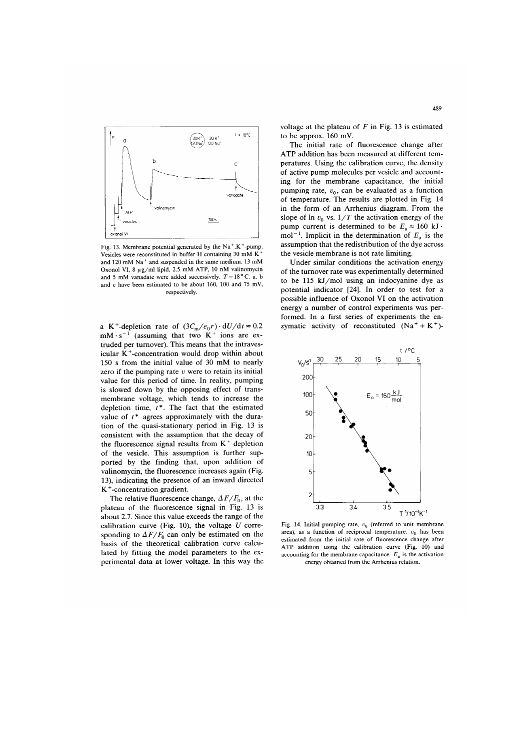

Fig. 13. Membrane potential generated by the  $Na^{+}$ , K<sup>+</sup>-pump. Vesicles were reconstituted in buffer H containing 30 mM K and 120 mM Na<sup>+</sup> and suspended in the same medium. 13 mM Oxonol VI, 8  $\mu$ g/ml lipid, 2.5 mM ATP, 10 nM valinomycin and 5 mM vanadate were added successively.  $T = 18^{\circ}$  C. a, b and c have been estimated to be about 160, 100 and 75 mV, respectively.

a K<sup>+</sup>-depletion rate of  $(3C_m/e_0r) \cdot dU/dt \approx 0.2$ <br>mM·s<sup>-1</sup> (assuming that two K<sup>+</sup> ions are extruded per turnover). This means that the intravesicular  $K^+$ -concentration would drop within about 150 s from the initial value of 30 mM to nearly zero if the pumping rate  $v$  were to retain its initial value for this period of time. In reality, pumping is slowed down by the opposing effect of transmembrane voltage, which tends to increase the depletion time,  $t^*$ . The fact that the estimated value of  $t^*$  agrees approximately with the duration of the quasi-stationary period in Fig. 13 is consistent with the assumption that the decay of the fluorescence signal results from  $K^+$  depletion of the vesicle. This assumption is further supported by the finding that, upon addition of valinomycin, the fluorescence increases again (Fig. 13), indicating the presence of an inward directed  $K^+$ -concentration gradient.

The relative fluorescence change,  $\Delta F/F_0$ , at the plateau of the fluorescence signal in Fig. 13 is about 2.7. Since this value exceeds the range of the calibration curve (Fig. 10), the voltage  $U$  corresponding to  $\Delta F/F_0$  can only be estimated on the basis of the theoretical calibration curve calculated by fitting the model parameters to the experimental data at lower voltage. In this way the voltage at the plateau of  $F$  in Fig. 13 is estimated to be approx.  $160$  mV.

The initial rate of fluorescence change after ATP addition has been measured at different temperatures. Using the calibration curve, the density of active pump molecules per vesicle and accounting for the membrane capacitance, the initial pumping rate,  $v_0$ , can be evaluated as a function of temperature. The results are plotted in Fig. 14 in the form of an Arrhenius diagram. From the slope of  $\ln v_0$  vs.  $1/T$  the activation energy of the pump current is determined to be  $E_a \approx 160 \text{ kJ} \cdot \text{mol}^{-1}$ . Implicit in the determination of  $E_a$  is the assumption that the redistribution of the dye across the vesicle membrane is not rate limiting.

Under similar conditions the activation energy of the turnover rate was experimentally determined to be 115 kJ/mol using an indocyanine dye as potential indicator [24]. In order to test for a possible influence of Oxonol VI on the activation energy a number of control experiments was performed. In a first series of experiments the enzymatic activity of reconstituted  $(Na^+ + K^+)$ 



Fig. 14. Initial pumping rate,  $v_0$  (referred to unit membrane area), as a function of reciprocal temperature.  $v_0$  has been estimated from the initial rate of fluorescence change after ATP addition using the calibration curve (Fig. 10) and accounting for the membrane capacitance.  $E<sub>z</sub>$  is the activation energy obtained from the Arrhenius relation.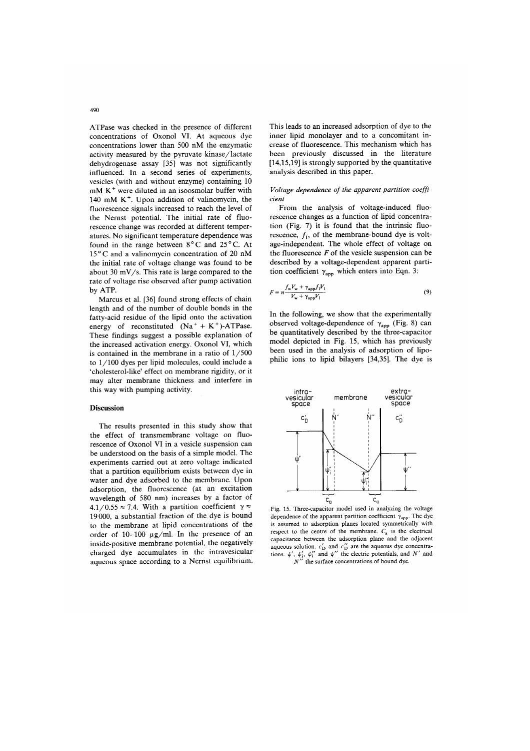ATPase was checked in the presence of different concentrations of Oxonol VI. At aqueous dve concentrations lower than 500 nM the enzymatic activity measured by the pyruvate kinase/lactate dehydrogenase assay [35] was not significantly influenced. In a second series of experiments, vesicles (with and without enzyme) containing 10  $mM K<sup>+</sup>$  were diluted in an isoosmolar buffer with 140 mM  $K^+$ . Upon addition of valinomycin, the fluorescence signals increased to reach the level of the Nernst potential. The initial rate of fluorescence change was recorded at different temperatures. No significant temperature dependence was found in the range between 8°C and 25°C. At  $15^{\circ}$ C and a valinomycin concentration of 20 nM the initial rate of voltage change was found to be about 30 mV/s. This rate is large compared to the rate of voltage rise observed after pump activation by ATP.

Marcus et al. [36] found strong effects of chain length and of the number of double bonds in the fatty-acid residue of the lipid onto the activation energy of reconstituted  $(Na^+ + K^+)$ -ATPase. These findings suggest a possible explanation of the increased activation energy. Oxonol VI, which is contained in the membrane in a ratio of  $1/500$ to  $1/100$  dyes per lipid molecules, could include a 'cholesterol-like' effect on membrane rigidity, or it may alter membrane thickness and interfere in this way with pumping activity.

## **Discussion**

The results presented in this study show that the effect of transmembrane voltage on fluorescence of Oxonol VI in a vesicle suspension can be understood on the basis of a simple model. The experiments carried out at zero voltage indicated that a partition equilibrium exists between dye in water and dye adsorbed to the membrane. Upon adsorption, the fluorescence (at an excitation wavelength of 580 nm) increases by a factor of 4.1/0.55  $\approx$  7.4. With a partition coefficient  $\gamma \approx$ 19000, a substantial fraction of the dye is bound to the membrane at lipid concentrations of the order of 10-100  $\mu$ g/ml. In the presence of an inside-positive membrane potential, the negatively charged dye accumulates in the intravesicular aqueous space according to a Nernst equilibrium. This leads to an increased adsorption of dve to the inner lipid monolayer and to a concomitant increase of fluorescence. This mechanism which has been previously discussed in the literature  $[14,15,19]$  is strongly supported by the quantitative analysis described in this paper.

#### Voltage dependence of the apparent partition coefficient

From the analysis of voltage-induced fluorescence changes as a function of lipid concentration (Fig. 7) it is found that the intrinsic fluorescence,  $f_1$ , of the membrane-bound dye is voltage-independent. The whole effect of voltage on the fluorescence  $F$  of the vesicle suspension can be described by a voltage-dependent apparent partition coefficient  $\gamma_{app}$  which enters into Eqn. 3:

$$
F = n \frac{f_w V_w + \gamma_{\text{app}} f_1 V_1}{V_w + \gamma_{\text{app}} V_1}
$$
\n(9)

In the following, we show that the experimentally observed voltage-dependence of  $\gamma_{app}$  (Fig. 8) can be quantitatively described by the three-capacitor model depicted in Fig. 15, which has previously been used in the analysis of adsorption of lipophilic ions to lipid bilayers [34,35]. The dye is



Fig. 15. Three-capacitor model used in analyzing the voltage dependence of the apparent partition coefficient  $\gamma_{app}$ . The dye is assumed to adsorption planes located symmetrically with respect to the centre of the membrane.  $C_a$  is the electrical capacitance between the adsorption plane and the adjacent aqueous solution.  $c'_{D}$  and  $c''_{D}$  are the aqueous dye concentraaqueous solutions.  $\psi'$ ,  $\psi''_1$  and  $\psi''$  the electric potentials, and N' and N'  $N''$  the surface concentrations of bound dye.

490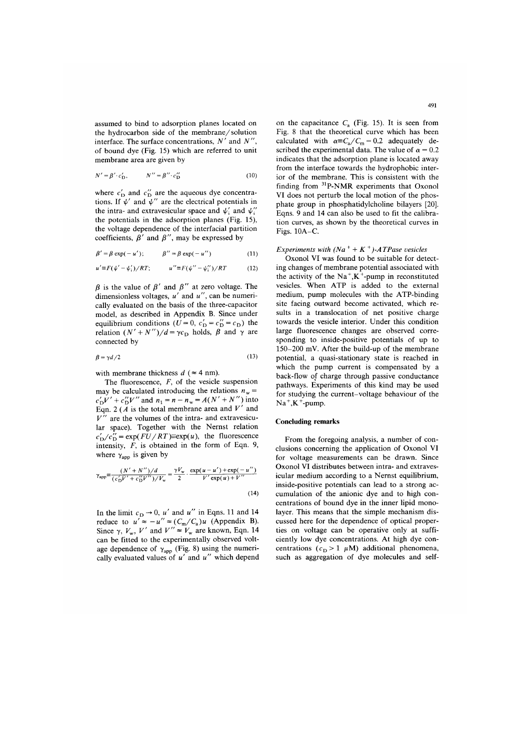assumed to bind to adsorption planes located on the hydrocarbon side of the membrane/solution interface. The surface concentrations,  $N'$  and  $N''$ of bound dye (Fig. 15) which are referred to unit membrane area are given by

$$
N' = \beta' \cdot c'_{\mathcal{D}}, \qquad N'' = \beta'' \cdot c''_{\mathcal{D}} \tag{10}
$$

where  $c'_{D}$  and  $c''_{D}$  are the aqueous dye concentra-<br>tions. If  $\psi'$  and  $\psi''$  are the electrical potentials in the intra- and extravesicular space and  $\psi'_i$  and  $\psi'_i$ the potentials in the adsorption planes (Fig. 15), the voltage dependence of the interfacial partition coefficients,  $\beta'$  and  $\beta''$ , may be expressed by

$$
\beta' = \beta \exp(-u'), \qquad \beta'' = \beta \exp(-u'')
$$
 (11)

$$
u' \equiv F(\psi' - \psi'_1) / RT; \qquad u'' \equiv F(\psi'' - \psi''_1) / RT \qquad (12)
$$

 $\beta$  is the value of  $\beta'$  and  $\beta''$  at zero voltage. The dimensionless voltages,  $u'$  and  $u''$ , can be numerically evaluated on the basis of the three-capacitor model, as described in Appendix B. Since under equilibrium conditions ( $U = 0$ ,  $c'_{\text{D}} = c''_{\text{D}} = c_{\text{D}}$ ) the relation  $(N' + N'')/d = \gamma c_D$  holds,  $\beta$  and  $\gamma$  are connected by

$$
\beta = \gamma d/2 \tag{13}
$$

with membrane thickness  $d$  ( $\approx$  4 nm).

The fluorescence,  $F$ , of the vesicle suspension may be calculated introducing the relations  $n_w$  $c'_{D}V' + c''_{D}V''$  and  $n_1 = n - n_w = A(N' + N'')$  into<br>Eqn. 2 (*A* is the total membrane area and V' and  $V''$  are the volumes of the intra- and extravesicular space). Together with the Nernst relation  $c'_D/c''_D = \exp(FU/RT) \equiv \exp(u)$ , the fluorescence intensity,  $F$ , is obtained in the form of Eqn. 9, where  $\gamma_{\rm apo}$  is given by

$$
\gamma_{\rm app} \equiv \frac{(N' + N'')/d}{(c'_{\rm D}V' + c''_{\rm D}V'')/V_{\rm w}} = \frac{\gamma V_{\rm w}}{2} \cdot \frac{\exp(u - u') + \exp(-u'')}{V' \exp(u) + V''}
$$
\n(14)

In the limit  $c_D \rightarrow 0$ , u' and u'' in Eqns. 11 and 14 reduce to  $u' \approx -u'' \approx (C_m/C_a)u$  (Appendix B). Since  $\gamma$ ,  $V_w$ , V' and  $V'' \approx V_w$  are known, Eqn. 14 can be fitted to the experimentally observed voltage dependence of  $\gamma_{app}$  (Fig. 8) using the numerically evaluated values of  $u'$  and  $u''$  which depend on the capacitance  $C_a$  (Fig. 15). It is seen from Fig. 8 that the theoretical curve which has been calculated with  $\alpha \equiv C_a/C_m = 0.2$  adequately described the experimental data. The value of  $\alpha = 0.2$ indicates that the adsorption plane is located away from the interface towards the hydrophobic interior of the membrane. This is consistent with the finding from  $31P-NMR$  experiments that Oxonol VI does not perturb the local motion of the phosphate group in phosphatidylcholine bilayers [20]. Eqns. 9 and 14 can also be used to fit the calibration curves, as shown by the theoretical curves in Figs. 10A-C.

# Experiments with  $(Na^+ + K^+)$ -ATPase vesicles

Oxonol VI was found to be suitable for detecting changes of membrane potential associated with the activity of the  $Na^+, K^+$ -pump in reconstituted vesicles. When ATP is added to the external medium, pump molecules with the ATP-binding site facing outward become activated, which results in a translocation of net positive charge towards the vesicle interior. Under this condition large fluorescence changes are observed corresponding to inside-positive potentials of up to 150-200 mV. After the build-up of the membrane potential, a quasi-stationary state is reached in which the pump current is compensated by a back-flow of charge through passive conductance pathways. Experiments of this kind may be used for studying the current-voltage behaviour of the  $Na^+, K^+$ -pump.

# **Concluding remarks**

From the foregoing analysis, a number of conclusions concerning the application of Oxonol VI for voltage measurements can be drawn. Since Oxonol VI distributes between intra- and extravesicular medium according to a Nernst equilibrium, inside-positive potentials can lead to a strong accumulation of the anionic dye and to high concentrations of bound dye in the inner lipid monolayer. This means that the simple mechanism discussed here for the dependence of optical properties on voltage can be operative only at sufficiently low dye concentrations. At high dye concentrations ( $c_D > 1$   $\mu$ M) additional phenomena, such as aggregation of dye molecules and self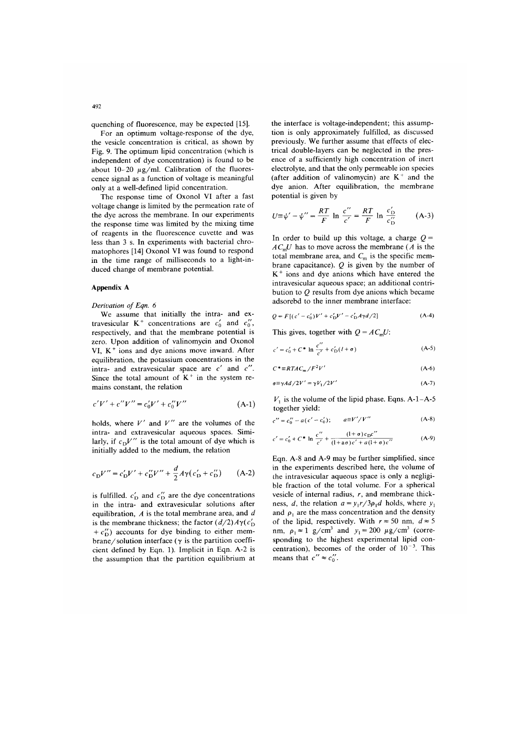quenching of fluorescence, may be expected [15].

For an optimum voltage-response of the dye, the vesicle concentration is critical, as shown by Fig. 9. The optimum lipid concentration (which is independent of dye concentration) is found to be about  $10-20 \mu g/ml$ . Calibration of the fluorescence signal as a function of voltage is meaningful only at a well-defined lipid concentration.

The response time of Oxonol VI after a fast voltage change is limited by the permeation rate of the dye across the membrane. In our experiments the response time was limited by the mixing time of reagents in the fluorescence cuvette and was less than 3 s. In experiments with bacterial chromatophores [14] Oxonol VI was found to respond in the time range of milliseconds to a light-induced change of membrane potential.

#### **Appendix A**

#### Derivation of Eqn. 6

We assume that initially the intra- and extravesicular K<sup>+</sup> concentrations are  $c'_0$  and  $c''_0$ , respectively, and that the membrane potential is zero. Upon addition of valinomycin and Oxonol VI,  $K^+$  ions and dye anions move inward. After equilibration, the potassium concentrations in the intra- and extravesicular space are  $c'$  and  $c''$ . Since the total amount of  $K^+$  in the system remains constant, the relation

$$
c'V' + c''V'' = c'_0V' + c''_0V''
$$
 (A-1)

holds, where  $V'$  and  $V''$  are the volumes of the intra- and extravesicular aqueous spaces. Similarly, if  $c_D V''$  is the total amount of dye which is initially added to the medium, the relation

$$
c_{D}V'' = c'_{D}V' + c''_{D}V'' + \frac{d}{2}A\gamma(c'_{D} + c''_{D})
$$
 (A-2)

is fulfilled.  $c'_{\text{D}}$  and  $c''_{\text{D}}$  are the dye concentrations in the intra- and extravesicular solutions after equilibration,  $A$  is the total membrane area, and  $d$ is the membrane thickness; the factor  $(d/2)A\gamma(c'_D)$ +  $c_D^{\prime\prime}$ ) accounts for dye binding to either membrane/solution interface ( $\gamma$  is the partition coefficient defined by Eqn. 1). Implicit in Eqn. A-2 is the assumption that the partition equilibrium at the interface is voltage-independent; this assumption is only approximately fulfilled, as discussed previously. We further assume that effects of electrical double-layers can be neglected in the presence of a sufficiently high concentration of inert electrolyte, and that the only permeable ion species (after addition of valinomycin) are  $K^+$  and the dye anion. After equilibration, the membrane potential is given by

$$
U \equiv \psi' - \psi'' = \frac{RT}{F} \ln \frac{c''}{c'} = \frac{RT}{F} \ln \frac{c'_{\text{D}}}{c''_{\text{D}}} \qquad (A-3)
$$

In order to build up this voltage, a charge  $Q =$  $AC<sub>m</sub>U$  has to move across the membrane (A is the total membrane area, and  $C_m$  is the specific membrane capacitance).  $Q$  is given by the number of  $K<sup>+</sup>$  ions and dye anions which have entered the intravesicular aqueous space; an additional contribution to  $Q$  results from dye anions which became adsorebd to the inner membrane interface:

$$
Q = F[(c' - c'_0)V' + c'_D V' - c'_D A \gamma d/2]
$$
 (A-4)

This gives, together with  $Q = AC<sub>m</sub>U$ :

$$
c' = c'_0 + C^* \ln \frac{c''}{c'} + c'_D(l + \sigma)
$$
 (A-5)

$$
C^* = RTAC_m/F^2V'
$$
 (A-6)

$$
\sigma \equiv \gamma A d / 2V' = \gamma V_1 / 2V' \tag{A-7}
$$

 $V_1$  is the volume of the lipid phase. Eqns. A-1-A-5 together yield:

$$
c'' = c_0'' - a(c' - c_0'); \qquad a \equiv V'/V'' \tag{A-8}
$$

$$
c' = c'_0 + C^* \ln \frac{c''}{c'} + \frac{(1+\sigma)c_0c''}{(1+\alpha\sigma)c'+a(1+\sigma)c''}
$$
 (A-9)

Eqn. A-8 and A-9 may be further simplified, since in the experiments described here, the volume of the intravesicular aqueous space is only a negligible fraction of the total volume. For a spherical vesicle of internal radius,  $r$ , and membrane thickness, d, the relation  $a = y_1 r / 3 \rho_1 d$  holds, where  $y_1$ and  $\rho_1$  are the mass concentration and the density of the lipid, respectively. With  $r \approx 50$  nm,  $d \approx 5$ nm,  $\rho_1 \approx 1$  g/cm<sup>3</sup> and  $y_1 = 200 \mu g/cm^3$  (corresponding to the highest experimental lipid concentration), becomes of the order of  $10^{-3}$ . This means that  $c'' \approx c_0''$ .

 $497$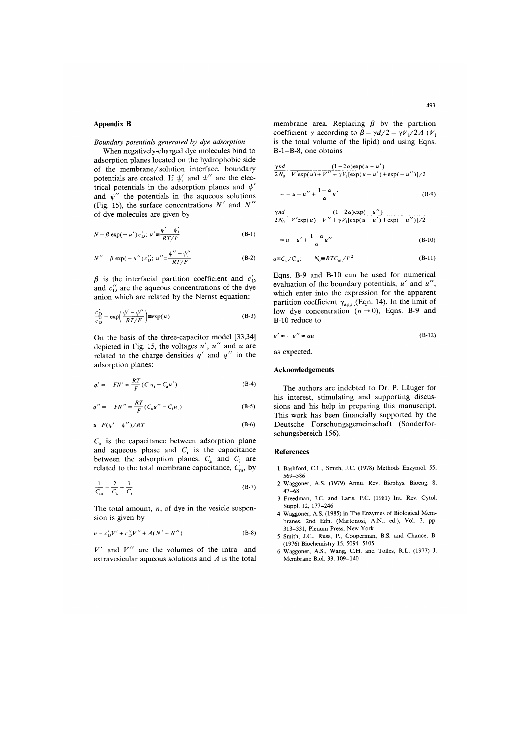# **Appendix B**

Boundary potentials generated by dye adsorption

When negatively-charged dye molecules bind to adsorption planes located on the hydrophobic side of the membrane/solution interface, boundary potentials are created. If  $\psi'_i$  and  $\psi''_i$  are the electrical potentials in the adsorption planes and  $\psi'$ and  $\psi''$  the potentials in the aqueous solutions (Fig. 15), the surface concentrations  $N'$  and  $N''$ of dye molecules are given by

$$
N = \beta \exp(-u') c'_{\text{D}}; \ u' = \frac{\psi' - \psi'_1}{RT/F}
$$
 (B-1)

$$
N'' = \beta \exp(-u'')c''_{\text{D}}; \ u'' \equiv \frac{\psi'' - \psi''_i}{RT/F}
$$
 (B-2)

 $\beta$  is the interfacial partition coefficient and  $c'_{\text{D}}$ and  $c''_{\text{D}}$  are the aqueous concentrations of the dye anion which are related by the Nernst equation:

$$
\frac{c'_{\rm D}}{c''_{\rm D}} = \exp\left(\frac{\psi' - \psi''}{RT/F}\right) \equiv \exp(u) \tag{B-3}
$$

On the basis of the three-capacitor model [33,34] depicted in Fig. 15, the voltages  $u'$ ,  $u''$  and  $u$  are related to the charge densities  $q'$  and  $q''$  in the adsorption planes:

$$
q'_{i} = -FN' = \frac{RT}{F}(C_{i}u_{i} - C_{a}u') \tag{B-4}
$$

$$
q_i'' = -FN'' = \frac{RT}{F}(C_a u'' - C_i u_i)
$$
 (B-5)

$$
u \equiv F(\psi' - \psi'')/RT \tag{B-6}
$$

 $C_a$  is the capacitance between adsorption plane and aqueous phase and  $C_i$  is the capacitance between the adsorption planes.  $C_a$  and  $C_i$  are related to the total membrane capacitance,  $C_m$ , by

$$
\frac{1}{C_m} = \frac{2}{C_a} + \frac{1}{C_i}
$$
 (B-7)

The total amount,  $n$ , of dye in the vesicle suspension is given by

$$
n = c'_{D}V' + c''_{D}V'' + A(N' + N'')
$$
 (B-8)

 $V'$  and  $V''$  are the volumes of the intra- and extravesicular aqueous solutions and  $A$  is the total

membrane area. Replacing  $\beta$  by the partition coefficient  $\gamma$  according to  $\beta = \gamma d/2 = \gamma V_1/2A$  (V<sub>1</sub>) is the total volume of the lipid) and using Eqns.  $B-1-B-8$ , one obtains

$$
\frac{\gamma n d}{2N_0} \cdot \frac{(1-2\alpha) \exp(u - u')}{V' \exp(u) + V'' + \gamma V_1 [\exp(u - u') + \exp(-u'')] / 2}
$$

$$
= -u + u'' + \frac{1-\alpha}{\alpha}u'
$$
 (B-9)

$$
\frac{\gamma nd}{2N_0} \cdot \frac{(1-2\alpha)\exp(-u'')}{V' \exp(u) + V'' + \gamma V_1[\exp(u-u') + \exp(-u'')] / 2}
$$

$$
= u - u' + \frac{1 - \alpha}{\alpha} u''
$$
 (B-10)

$$
\underset{\epsilon \equiv C_{\rm a}}{\leq} C_{\rm m}; \qquad N_0 \equiv R T C_{\rm m} / F^2 \tag{B-11}
$$

Eqns. B-9 and B-10 can be used for numerical evaluation of the boundary potentials,  $u'$  and  $u''$ , which enter into the expression for the apparent partition coefficient  $\gamma_{app}$  (Eqn. 14). In the limit of low dye concentration  $(n \rightarrow 0)$ , Eqns. B-9 and B-10 reduce to

$$
u' \approx -u'' \approx \alpha u \tag{B-12}
$$

as expected.

 $\epsilon$ 

#### **Acknowledgements**

The authors are indebted to Dr. P. Läuger for his interest, stimulating and supporting discussions and his help in preparing this manuscript. This work has been financially supported by the Deutsche Forschungsgemeinschaft (Sonderforschungsbereich 156).

#### **References**

- 1 Bashford, C.L., Smith, J.C. (1978) Methods Enzymol. 55, 569-586
- 2 Waggoner, A.S. (1979) Annu. Rev. Biophys. Bioeng. 8,  $47 - 68$
- 3 Freedman, J.C. and Laris, P.C. (1981) Int. Rev. Cytol. Suppl. 12, 177-246
- 4 Waggoner, A.S. (1985) in The Enzymes of Biological Membranes, 2nd Edn. (Martonosi, A.N., ed.), Vol. 3, pp. 313-331, Plenum Press, New York
- 5 Smith, J.C., Russ, P., Cooperman, B.S. and Chance, B. (1976) Biochemistry 15, 5094-5105
- 6 Waggoner, A.S., Wang, C.H. and Tolles, R.L. (1977) J. Membrane Biol. 33, 109-140